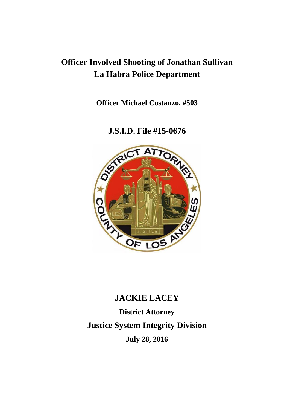## **Officer Involved Shooting of Jonathan Sullivan La Habra Police Department**

**Officer Michael Costanzo, #503**

**J.S.I.D. File #15-0676**



# **JACKIE LACEY District Attorney Justice System Integrity Division July 28, 2016**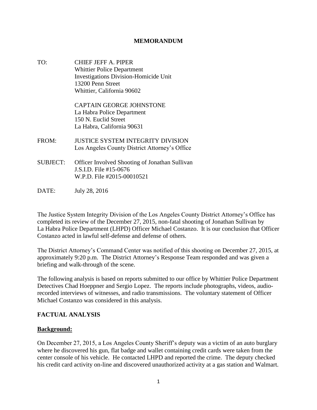#### **MEMORANDUM**

TO: CHIEF JEFF A. PIPER Whittier Police Department Investigations Division-Homicide Unit 13200 Penn Street Whittier, California 90602

> CAPTAIN GEORGE JOHNSTONE La Habra Police Department 150 N. Euclid Street La Habra, California 90631

- FROM: JUSTICE SYSTEM INTEGRITY DIVISION Los Angeles County District Attorney's Office
- SUBJECT: Officer Involved Shooting of Jonathan Sullivan J.S.I.D. File #15-0676 W.P.D. File #2015-00010521
- DATE: July 28, 2016

The Justice System Integrity Division of the Los Angeles County District Attorney's Office has completed its review of the December 27, 2015, non-fatal shooting of Jonathan Sullivan by La Habra Police Department (LHPD) Officer Michael Costanzo. It is our conclusion that Officer Costanzo acted in lawful self-defense and defense of others.

The District Attorney's Command Center was notified of this shooting on December 27, 2015, at approximately 9:20 p.m. The District Attorney's Response Team responded and was given a briefing and walk-through of the scene.

The following analysis is based on reports submitted to our office by Whittier Police Department Detectives Chad Hoeppner and Sergio Lopez. The reports include photographs, videos, audiorecorded interviews of witnesses, and radio transmissions. The voluntary statement of Officer Michael Costanzo was considered in this analysis.

#### **FACTUAL ANALYSIS**

#### **Background:**

On December 27, 2015, a Los Angeles County Sheriff's deputy was a victim of an auto burglary where he discovered his gun, flat badge and wallet containing credit cards were taken from the center console of his vehicle. He contacted LHPD and reported the crime. The deputy checked his credit card activity on-line and discovered unauthorized activity at a gas station and Walmart.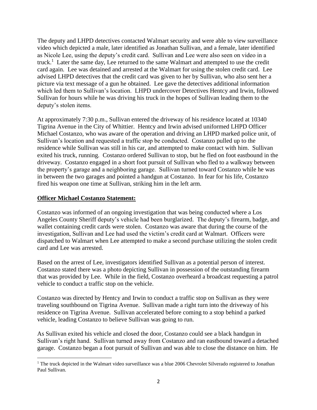The deputy and LHPD detectives contacted Walmart security and were able to view surveillance video which depicted a male, later identified as Jonathan Sullivan, and a female, later identified as Nicole Lee, using the deputy's credit card. Sullivan and Lee were also seen on video in a truck.<sup>1</sup> Later the same day, Lee returned to the same Walmart and attempted to use the credit card again. Lee was detained and arrested at the Walmart for using the stolen credit card. Lee advised LHPD detectives that the credit card was given to her by Sullivan, who also sent her a picture via text message of a gun he obtained. Lee gave the detectives additional information which led them to Sullivan's location. LHPD undercover Detectives Hentcy and Irwin, followed Sullivan for hours while he was driving his truck in the hopes of Sullivan leading them to the deputy's stolen items.

At approximately 7:30 p.m., Sullivan entered the driveway of his residence located at 10340 Tigrina Avenue in the City of Whittier. Hentcy and Irwin advised uniformed LHPD Officer Michael Costanzo, who was aware of the operation and driving an LHPD marked police unit, of Sullivan's location and requested a traffic stop be conducted. Costanzo pulled up to the residence while Sullivan was still in his car, and attempted to make contact with him. Sullivan exited his truck, running. Costanzo ordered Sullivan to stop, but he fled on foot eastbound in the driveway. Costanzo engaged in a short foot pursuit of Sullivan who fled to a walkway between the property's garage and a neighboring garage. Sullivan turned toward Costanzo while he was in between the two garages and pointed a handgun at Costanzo. In fear for his life, Costanzo fired his weapon one time at Sullivan, striking him in the left arm.

#### **Officer Michael Costanzo Statement:**

Costanzo was informed of an ongoing investigation that was being conducted where a Los Angeles County Sheriff deputy's vehicle had been burglarized. The deputy's firearm, badge, and wallet containing credit cards were stolen. Costanzo was aware that during the course of the investigation, Sullivan and Lee had used the victim's credit card at Walmart. Officers were dispatched to Walmart when Lee attempted to make a second purchase utilizing the stolen credit card and Lee was arrested.

Based on the arrest of Lee, investigators identified Sullivan as a potential person of interest. Costanzo stated there was a photo depicting Sullivan in possession of the outstanding firearm that was provided by Lee. While in the field, Costanzo overheard a broadcast requesting a patrol vehicle to conduct a traffic stop on the vehicle.

Costanzo was directed by Hentcy and Irwin to conduct a traffic stop on Sullivan as they were traveling southbound on Tigrina Avenue. Sullivan made a right turn into the driveway of his residence on Tigrina Avenue. Sullivan accelerated before coming to a stop behind a parked vehicle, leading Costanzo to believe Sullivan was going to run.

As Sullivan exited his vehicle and closed the door, Costanzo could see a black handgun in Sullivan's right hand. Sullivan turned away from Costanzo and ran eastbound toward a detached garage. Costanzo began a foot pursuit of Sullivan and was able to close the distance on him. He

 $\overline{\phantom{a}}$ <sup>1</sup> The truck depicted in the Walmart video surveillance was a blue 2006 Chevrolet Silverado registered to Jonathan Paul Sullivan.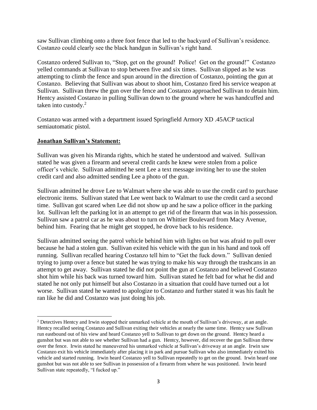saw Sullivan climbing onto a three foot fence that led to the backyard of Sullivan's residence. Costanzo could clearly see the black handgun in Sullivan's right hand.

Costanzo ordered Sullivan to, "Stop, get on the ground! Police! Get on the ground!" Costanzo yelled commands at Sullivan to stop between five and six times. Sullivan slipped as he was attempting to climb the fence and spun around in the direction of Costanzo, pointing the gun at Costanzo. Believing that Sullivan was about to shoot him, Costanzo fired his service weapon at Sullivan. Sullivan threw the gun over the fence and Costanzo approached Sullivan to detain him. Hentcy assisted Costanzo in pulling Sullivan down to the ground where he was handcuffed and taken into custody.<sup>2</sup>

Costanzo was armed with a department issued Springfield Armory XD .45ACP tactical semiautomatic pistol.

#### **Jonathan Sullivan's Statement:**

 $\overline{\phantom{a}}$ 

Sullivan was given his Miranda rights, which he stated he understood and waived. Sullivan stated he was given a firearm and several credit cards he knew were stolen from a police officer's vehicle. Sullivan admitted he sent Lee a text message inviting her to use the stolen credit card and also admitted sending Lee a photo of the gun.

Sullivan admitted he drove Lee to Walmart where she was able to use the credit card to purchase electronic items. Sullivan stated that Lee went back to Walmart to use the credit card a second time. Sullivan got scared when Lee did not show up and he saw a police officer in the parking lot. Sullivan left the parking lot in an attempt to get rid of the firearm that was in his possession. Sullivan saw a patrol car as he was about to turn on Whittier Boulevard from Macy Avenue, behind him. Fearing that he might get stopped, he drove back to his residence.

Sullivan admitted seeing the patrol vehicle behind him with lights on but was afraid to pull over because he had a stolen gun. Sullivan exited his vehicle with the gun in his hand and took off running. Sullivan recalled hearing Costanzo tell him to "Get the fuck down." Sullivan denied trying to jump over a fence but stated he was trying to make his way through the trashcans in an attempt to get away. Sullivan stated he did not point the gun at Costanzo and believed Costanzo shot him while his back was turned toward him. Sullivan stated he felt bad for what he did and stated he not only put himself but also Costanzo in a situation that could have turned out a lot worse. Sullivan stated he wanted to apologize to Costanzo and further stated it was his fault he ran like he did and Costanzo was just doing his job.

<sup>2</sup> Detectives Hentcy and Irwin stopped their unmarked vehicle at the mouth of Sullivan's driveway, at an angle. Hentcy recalled seeing Costanzo and Sullivan exiting their vehicles at nearly the same time. Hentcy saw Sullivan run eastbound out of his view and heard Costanzo yell to Sullivan to get down on the ground. Hentcy heard a gunshot but was not able to see whether Sullivan had a gun. Hentcy, however, did recover the gun Sullivan threw over the fence. Irwin stated he maneuvered his unmarked vehicle at Sullivan's driveway at an angle. Irwin saw Costanzo exit his vehicle immediately after placing it in park and pursue Sullivan who also immediately exited his vehicle and started running. Irwin heard Costanzo yell to Sullivan repeatedly to get on the ground. Irwin heard one gunshot but was not able to see Sullivan in possession of a firearm from where he was positioned. Irwin heard Sullivan state repeatedly, "I fucked up."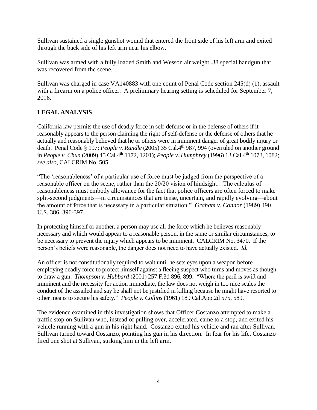Sullivan sustained a single gunshot wound that entered the front side of his left arm and exited through the back side of his left arm near his elbow.

Sullivan was armed with a fully loaded Smith and Wesson air weight .38 special handgun that was recovered from the scene.

Sullivan was charged in case VA140883 with one count of Penal Code section 245(d) (1), assault with a firearm on a police officer. A preliminary hearing setting is scheduled for September 7, 2016.

### **LEGAL ANALYSIS**

California law permits the use of deadly force in self-defense or in the defense of others if it reasonably appears to the person claiming the right of self-defense or the defense of others that he actually and reasonably believed that he or others were in imminent danger of great bodily injury or death. Penal Code § 197; *People v. Randle* (2005) 35 Cal.4th 987, 994 (overruled on another ground in *People v. Chun* (2009) 45 Cal.4th 1172, 1201); *People v. Humphrey* (1996) 13 Cal.4th 1073, 1082; *see also,* CALCRIM No. 505.

"The 'reasonableness' of a particular use of force must be judged from the perspective of a reasonable officer on the scene, rather than the 20/20 vision of hindsight…The calculus of reasonableness must embody allowance for the fact that police officers are often forced to make split-second judgments—in circumstances that are tense, uncertain, and rapidly evolving—about the amount of force that is necessary in a particular situation." *Graham v. Connor* (1989) 490 U.S. 386, 396-397.

In protecting himself or another, a person may use all the force which he believes reasonably necessary and which would appear to a reasonable person, in the same or similar circumstances, to be necessary to prevent the injury which appears to be imminent. CALCRIM No. 3470. If the person's beliefs were reasonable, the danger does not need to have actually existed. *Id.*

An officer is not constitutionally required to wait until he sets eyes upon a weapon before employing deadly force to protect himself against a fleeing suspect who turns and moves as though to draw a gun. *Thompson v. Hubbard* (2001) 257 F.3d 896, 899. "Where the peril is swift and imminent and the necessity for action immediate, the law does not weigh in too nice scales the conduct of the assailed and say he shall not be justified in killing because he might have resorted to other means to secure his safety." *People v. Collins* (1961) 189 Cal.App.2d 575, 589.

The evidence examined in this investigation shows that Officer Costanzo attempted to make a traffic stop on Sullivan who, instead of pulling over, accelerated, came to a stop, and exited his vehicle running with a gun in his right hand. Costanzo exited his vehicle and ran after Sullivan. Sullivan turned toward Costanzo, pointing his gun in his direction. In fear for his life, Costanzo fired one shot at Sullivan, striking him in the left arm.